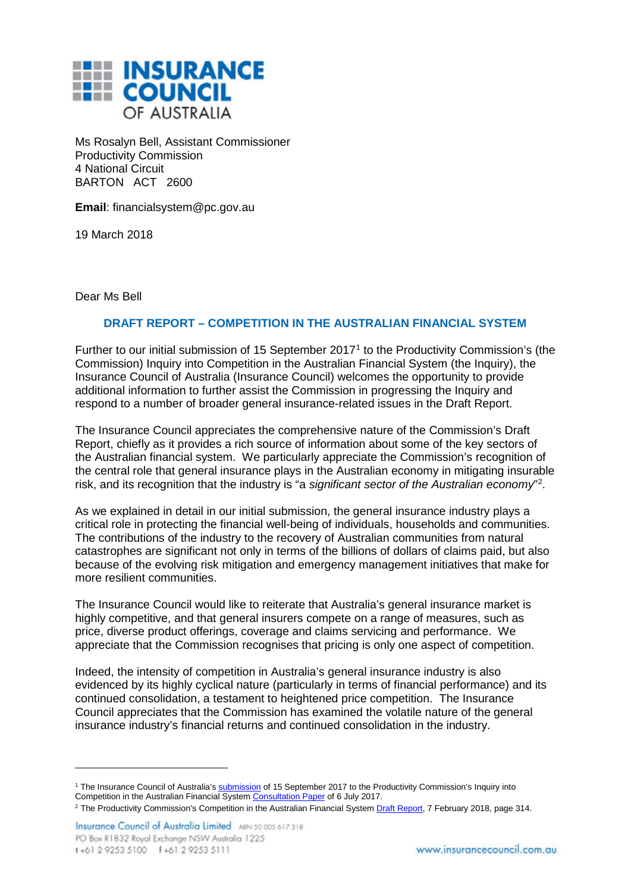

Ms Rosalyn Bell, Assistant Commissioner Productivity Commission 4 National Circuit BARTON ACT 2600

**Email**: financialsystem@pc.gov.au

19 March 2018

Dear Ms Bell

-

## **DRAFT REPORT – COMPETITION IN THE AUSTRALIAN FINANCIAL SYSTEM**

Further to our initial submission of 15 September 2017[1](#page-0-0) to the Productivity Commission's (the Commission) Inquiry into Competition in the Australian Financial System (the Inquiry), the Insurance Council of Australia (Insurance Council) welcomes the opportunity to provide additional information to further assist the Commission in progressing the Inquiry and respond to a number of broader general insurance-related issues in the Draft Report.

The Insurance Council appreciates the comprehensive nature of the Commission's Draft Report, chiefly as it provides a rich source of information about some of the key sectors of the Australian financial system. We particularly appreciate the Commission's recognition of the central role that general insurance plays in the Australian economy in mitigating insurable risk, and its recognition that the industry is "a *significant sector of the Australian economy*"[2](#page-0-1) .

As we explained in detail in our initial submission, the general insurance industry plays a critical role in protecting the financial well-being of individuals, households and communities. The contributions of the industry to the recovery of Australian communities from natural catastrophes are significant not only in terms of the billions of dollars of claims paid, but also because of the evolving risk mitigation and emergency management initiatives that make for more resilient communities.

The Insurance Council would like to reiterate that Australia's general insurance market is highly competitive, and that general insurers compete on a range of measures, such as price, diverse product offerings, coverage and claims servicing and performance. We appreciate that the Commission recognises that pricing is only one aspect of competition.

Indeed, the intensity of competition in Australia's general insurance industry is also evidenced by its highly cyclical nature (particularly in terms of financial performance) and its continued consolidation, a testament to heightened price competition. The Insurance Council appreciates that the Commission has examined the volatile nature of the general insurance industry's financial returns and continued consolidation in the industry.

<span id="page-0-0"></span><sup>&</sup>lt;sup>1</sup> The Insurance Council of Australia's **submission** of 15 September 2017 to the Productivity Commission's Inquiry into Competition in the Australian Financial System Consultation Paper of 6 July 2017.

<span id="page-0-1"></span><sup>&</sup>lt;sup>2</sup> The Productivity Commission's Competition in the Australian Financial System Draft Report, 7 February 2018, page 314.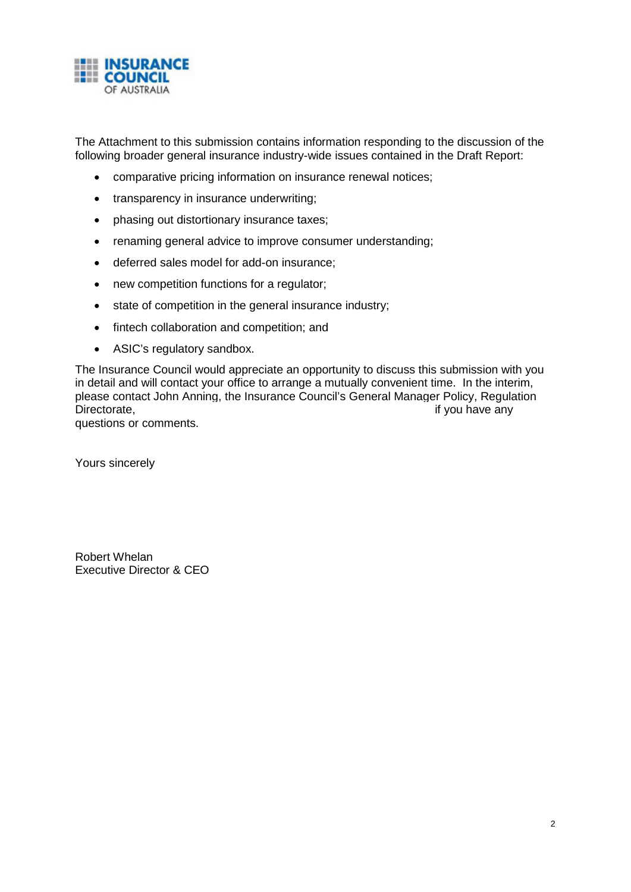

The Attachment to this submission contains information responding to the discussion of the following broader general insurance industry-wide issues contained in the Draft Report:

- comparative pricing information on insurance renewal notices;
- transparency in insurance underwriting;
- phasing out distortionary insurance taxes;
- renaming general advice to improve consumer understanding;
- deferred sales model for add-on insurance;
- new competition functions for a regulator;
- state of competition in the general insurance industry;
- fintech collaboration and competition; and
- ASIC's regulatory sandbox.

The Insurance Council would appreciate an opportunity to discuss this submission with you in detail and will contact your office to arrange a mutually convenient time. In the interim, please contact John Anning, the Insurance Council's General Manager Policy, Regulation Directorate, the contract of the contract of the contract of the contract of the contract of the contract of the contract of the contract of the contract of the contract of the contract of the contract of the contract of t

questions or comments.

Yours sincerely

Robert Whelan Executive Director & CEO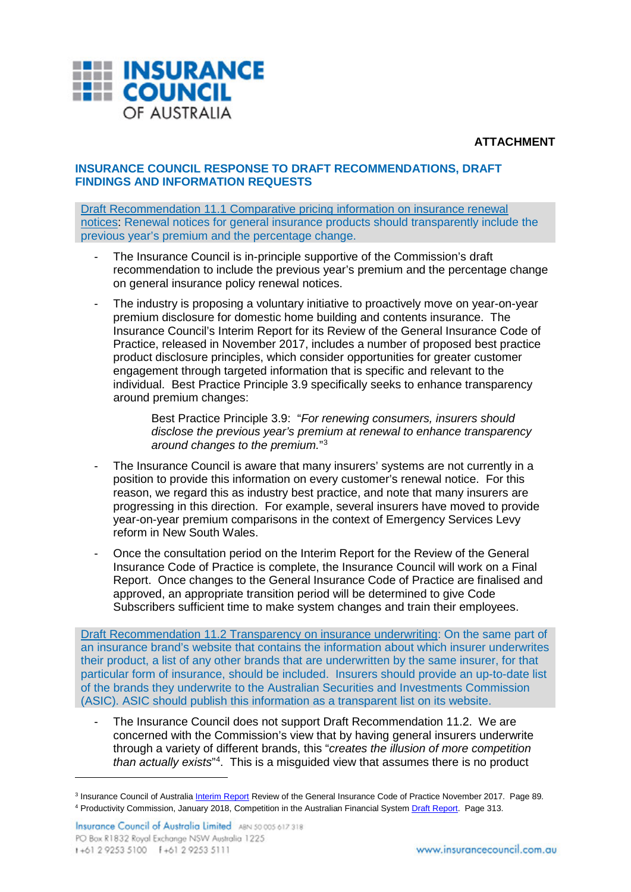

**ATTACHMENT**

## **INSURANCE COUNCIL RESPONSE TO DRAFT RECOMMENDATIONS, DRAFT FINDINGS AND INFORMATION REQUESTS**

Draft Recommendation 11.1 Comparative pricing information on insurance renewal notices: Renewal notices for general insurance products should transparently include the previous year's premium and the percentage change.

- The Insurance Council is in-principle supportive of the Commission's draft recommendation to include the previous year's premium and the percentage change on general insurance policy renewal notices.
- The industry is proposing a voluntary initiative to proactively move on year-on-year premium disclosure for domestic home building and contents insurance. The Insurance Council's Interim Report for its Review of the General Insurance Code of Practice, released in November 2017, includes a number of proposed best practice product disclosure principles, which consider opportunities for greater customer engagement through targeted information that is specific and relevant to the individual. Best Practice Principle 3.9 specifically seeks to enhance transparency around premium changes:

Best Practice Principle 3.9: "*For renewing consumers, insurers should disclose the previous year's premium at renewal to enhance transparency around changes to the premium.*["3](#page-2-0)

- The Insurance Council is aware that many insurers' systems are not currently in a position to provide this information on every customer's renewal notice. For this reason, we regard this as industry best practice, and note that many insurers are progressing in this direction. For example, several insurers have moved to provide year-on-year premium comparisons in the context of Emergency Services Levy reform in New South Wales.
- Once the consultation period on the Interim Report for the Review of the General Insurance Code of Practice is complete, the Insurance Council will work on a Final Report. Once changes to the General Insurance Code of Practice are finalised and approved, an appropriate transition period will be determined to give Code Subscribers sufficient time to make system changes and train their employees.

Draft Recommendation 11.2 Transparency on insurance underwriting: On the same part of an insurance brand's website that contains the information about which insurer underwrites their product, a list of any other brands that are underwritten by the same insurer, for that particular form of insurance, should be included. Insurers should provide an up-to-date list of the brands they underwrite to the Australian Securities and Investments Commission (ASIC). ASIC should publish this information as a transparent list on its website.

The Insurance Council does not support Draft Recommendation 11.2. We are concerned with the Commission's view that by having general insurers underwrite through a variety of different brands, this "*creates the illusion of more competition than actually exists*"[4](#page-2-1) . This is a misguided view that assumes there is no product

-

<span id="page-2-1"></span><span id="page-2-0"></span><sup>3</sup> Insurance Council of Australia Interim Report Review of the General Insurance Code of Practice November 2017. Page 89. <sup>4</sup> Productivity Commission, January 2018, Competition in the Australian Financial System Draft Report. Page 313.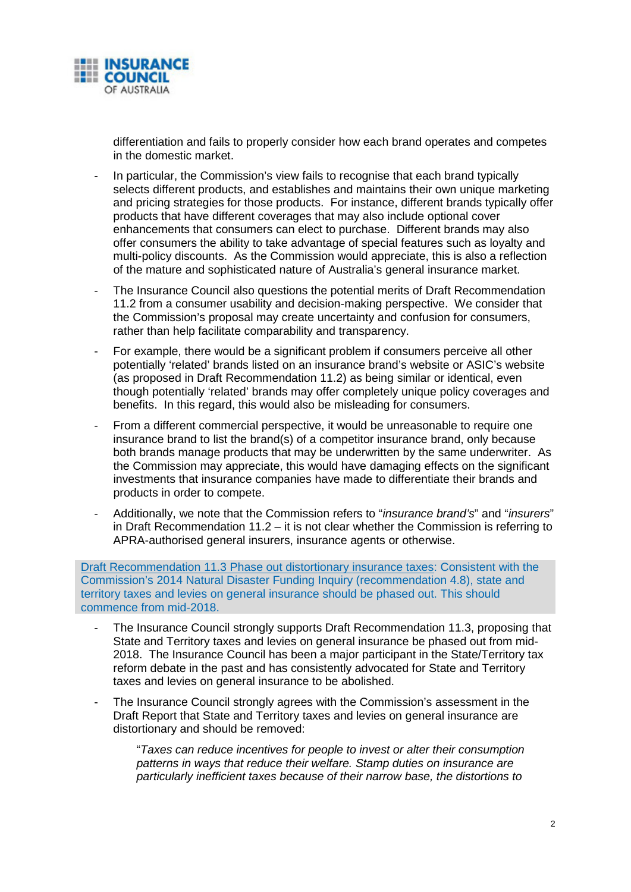

differentiation and fails to properly consider how each brand operates and competes in the domestic market.

- In particular, the Commission's view fails to recognise that each brand typically selects different products, and establishes and maintains their own unique marketing and pricing strategies for those products. For instance, different brands typically offer products that have different coverages that may also include optional cover enhancements that consumers can elect to purchase. Different brands may also offer consumers the ability to take advantage of special features such as loyalty and multi-policy discounts. As the Commission would appreciate, this is also a reflection of the mature and sophisticated nature of Australia's general insurance market.
- The Insurance Council also questions the potential merits of Draft Recommendation 11.2 from a consumer usability and decision-making perspective. We consider that the Commission's proposal may create uncertainty and confusion for consumers, rather than help facilitate comparability and transparency.
- For example, there would be a significant problem if consumers perceive all other potentially 'related' brands listed on an insurance brand's website or ASIC's website (as proposed in Draft Recommendation 11.2) as being similar or identical, even though potentially 'related' brands may offer completely unique policy coverages and benefits. In this regard, this would also be misleading for consumers.
- From a different commercial perspective, it would be unreasonable to require one insurance brand to list the brand(s) of a competitor insurance brand, only because both brands manage products that may be underwritten by the same underwriter. As the Commission may appreciate, this would have damaging effects on the significant investments that insurance companies have made to differentiate their brands and products in order to compete.
- Additionally, we note that the Commission refers to "*insurance brand's*" and "*insurers*" in Draft Recommendation 11.2 – it is not clear whether the Commission is referring to APRA-authorised general insurers, insurance agents or otherwise.

Draft Recommendation 11.3 Phase out distortionary insurance taxes: Consistent with the Commission's 2014 Natural Disaster Funding Inquiry (recommendation 4.8), state and territory taxes and levies on general insurance should be phased out. This should commence from mid-2018.

- The Insurance Council strongly supports Draft Recommendation 11.3, proposing that State and Territory taxes and levies on general insurance be phased out from mid-2018. The Insurance Council has been a major participant in the State/Territory tax reform debate in the past and has consistently advocated for State and Territory taxes and levies on general insurance to be abolished.
- The Insurance Council strongly agrees with the Commission's assessment in the Draft Report that State and Territory taxes and levies on general insurance are distortionary and should be removed:

"*Taxes can reduce incentives for people to invest or alter their consumption patterns in ways that reduce their welfare. Stamp duties on insurance are particularly inefficient taxes because of their narrow base, the distortions to*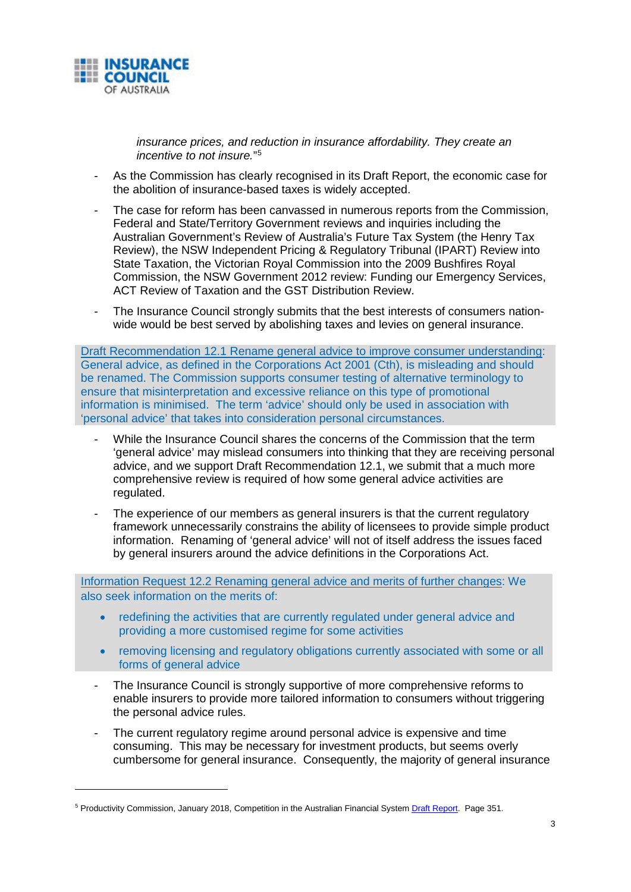

*insurance prices, and reduction in insurance affordability. They create an incentive to not insure.*"[5](#page-4-0)

- As the Commission has clearly recognised in its Draft Report, the economic case for the abolition of insurance-based taxes is widely accepted.
- The case for reform has been canvassed in numerous reports from the Commission, Federal and State/Territory Government reviews and inquiries including the Australian Government's Review of Australia's Future Tax System (the Henry Tax Review), the NSW Independent Pricing & Regulatory Tribunal (IPART) Review into State Taxation, the Victorian Royal Commission into the 2009 Bushfires Royal Commission, the NSW Government 2012 review: Funding our Emergency Services, ACT Review of Taxation and the GST Distribution Review.
- The Insurance Council strongly submits that the best interests of consumers nationwide would be best served by abolishing taxes and levies on general insurance.

Draft Recommendation 12.1 Rename general advice to improve consumer understanding: General advice, as defined in the Corporations Act 2001 (Cth), is misleading and should be renamed. The Commission supports consumer testing of alternative terminology to ensure that misinterpretation and excessive reliance on this type of promotional information is minimised. The term 'advice' should only be used in association with 'personal advice' that takes into consideration personal circumstances.

- While the Insurance Council shares the concerns of the Commission that the term 'general advice' may mislead consumers into thinking that they are receiving personal advice, and we support Draft Recommendation 12.1, we submit that a much more comprehensive review is required of how some general advice activities are regulated.
- The experience of our members as general insurers is that the current regulatory framework unnecessarily constrains the ability of licensees to provide simple product information. Renaming of 'general advice' will not of itself address the issues faced by general insurers around the advice definitions in the Corporations Act.

Information Request 12.2 Renaming general advice and merits of further changes: We also seek information on the merits of:

- redefining the activities that are currently regulated under general advice and providing a more customised regime for some activities
- removing licensing and regulatory obligations currently associated with some or all forms of general advice
- The Insurance Council is strongly supportive of more comprehensive reforms to enable insurers to provide more tailored information to consumers without triggering the personal advice rules.
- The current regulatory regime around personal advice is expensive and time consuming. This may be necessary for investment products, but seems overly cumbersome for general insurance. Consequently, the majority of general insurance

<span id="page-4-0"></span><sup>5</sup> Productivity Commission, January 2018, Competition in the Australian Financial System Draft Report. Page 351.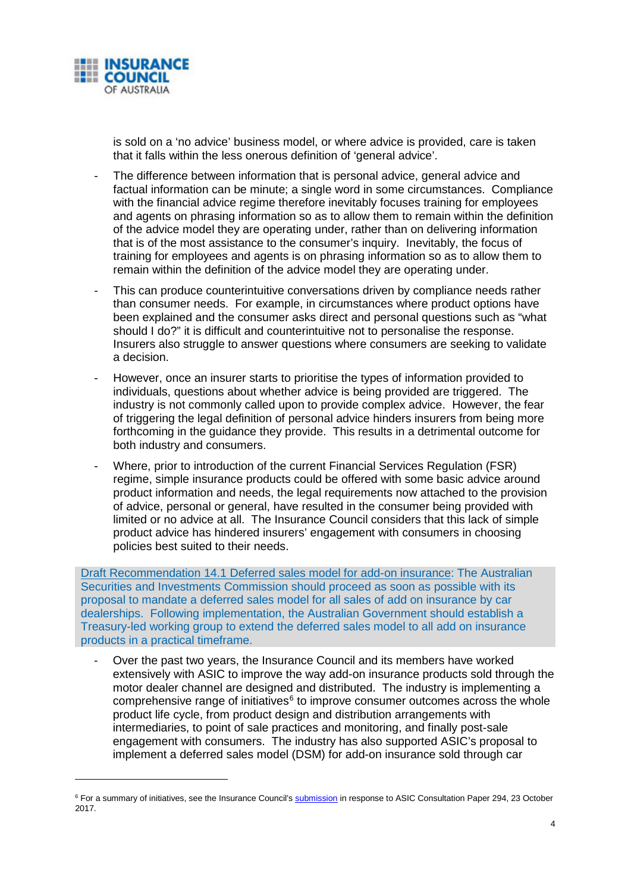

is sold on a 'no advice' business model, or where advice is provided, care is taken that it falls within the less onerous definition of 'general advice'.

- The difference between information that is personal advice, general advice and factual information can be minute; a single word in some circumstances. Compliance with the financial advice regime therefore inevitably focuses training for employees and agents on phrasing information so as to allow them to remain within the definition of the advice model they are operating under, rather than on delivering information that is of the most assistance to the consumer's inquiry. Inevitably, the focus of training for employees and agents is on phrasing information so as to allow them to remain within the definition of the advice model they are operating under.
- This can produce counterintuitive conversations driven by compliance needs rather than consumer needs. For example, in circumstances where product options have been explained and the consumer asks direct and personal questions such as "what should I do?" it is difficult and counterintuitive not to personalise the response. Insurers also struggle to answer questions where consumers are seeking to validate a decision.
- However, once an insurer starts to prioritise the types of information provided to individuals, questions about whether advice is being provided are triggered. The industry is not commonly called upon to provide complex advice. However, the fear of triggering the legal definition of personal advice hinders insurers from being more forthcoming in the guidance they provide. This results in a detrimental outcome for both industry and consumers.
- Where, prior to introduction of the current Financial Services Regulation (FSR) regime, simple insurance products could be offered with some basic advice around product information and needs, the legal requirements now attached to the provision of advice, personal or general, have resulted in the consumer being provided with limited or no advice at all. The Insurance Council considers that this lack of simple product advice has hindered insurers' engagement with consumers in choosing policies best suited to their needs.

Draft Recommendation 14.1 Deferred sales model for add-on insurance: The Australian Securities and Investments Commission should proceed as soon as possible with its proposal to mandate a deferred sales model for all sales of add on insurance by car dealerships. Following implementation, the Australian Government should establish a Treasury-led working group to extend the deferred sales model to all add on insurance products in a practical timeframe.

- Over the past two years, the Insurance Council and its members have worked extensively with ASIC to improve the way add-on insurance products sold through the motor dealer channel are designed and distributed. The industry is implementing a comprehensive range of initiatives $6$  to improve consumer outcomes across the whole product life cycle, from product design and distribution arrangements with intermediaries, to point of sale practices and monitoring, and finally post-sale engagement with consumers. The industry has also supported ASIC's proposal to implement a deferred sales model (DSM) for add-on insurance sold through car

<span id="page-5-0"></span><sup>&</sup>lt;sup>6</sup> For a summary of initiatives, see the Insurance Council's submission in response to ASIC Consultation Paper 294, 23 October 2017.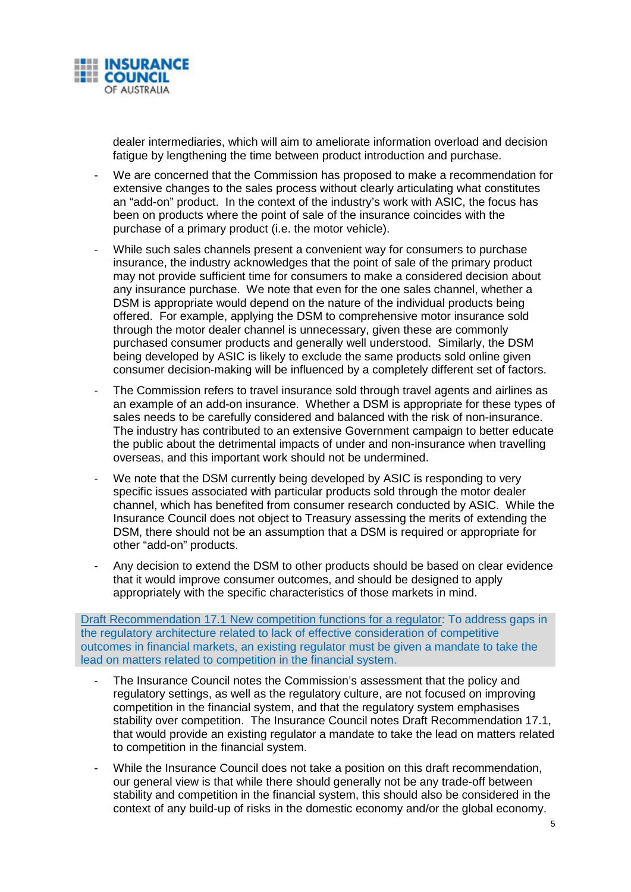

dealer intermediaries, which will aim to ameliorate information overload and decision fatigue by lengthening the time between product introduction and purchase.

- We are concerned that the Commission has proposed to make a recommendation for extensive changes to the sales process without clearly articulating what constitutes an "add-on" product. In the context of the industry's work with ASIC, the focus has been on products where the point of sale of the insurance coincides with the purchase of a primary product (i.e. the motor vehicle).
- While such sales channels present a convenient way for consumers to purchase insurance, the industry acknowledges that the point of sale of the primary product may not provide sufficient time for consumers to make a considered decision about any insurance purchase. We note that even for the one sales channel, whether a DSM is appropriate would depend on the nature of the individual products being offered. For example, applying the DSM to comprehensive motor insurance sold through the motor dealer channel is unnecessary, given these are commonly purchased consumer products and generally well understood. Similarly, the DSM being developed by ASIC is likely to exclude the same products sold online given consumer decision-making will be influenced by a completely different set of factors.
- The Commission refers to travel insurance sold through travel agents and airlines as an example of an add-on insurance. Whether a DSM is appropriate for these types of sales needs to be carefully considered and balanced with the risk of non-insurance. The industry has contributed to an extensive Government campaign to better educate the public about the detrimental impacts of under and non-insurance when travelling overseas, and this important work should not be undermined.
- We note that the DSM currently being developed by ASIC is responding to very specific issues associated with particular products sold through the motor dealer channel, which has benefited from consumer research conducted by ASIC. While the Insurance Council does not object to Treasury assessing the merits of extending the DSM, there should not be an assumption that a DSM is required or appropriate for other "add-on" products.
- Any decision to extend the DSM to other products should be based on clear evidence that it would improve consumer outcomes, and should be designed to apply appropriately with the specific characteristics of those markets in mind.

Draft Recommendation 17.1 New competition functions for a regulator: To address gaps in the regulatory architecture related to lack of effective consideration of competitive outcomes in financial markets, an existing regulator must be given a mandate to take the lead on matters related to competition in the financial system.

- The Insurance Council notes the Commission's assessment that the policy and regulatory settings, as well as the regulatory culture, are not focused on improving competition in the financial system, and that the regulatory system emphasises stability over competition. The Insurance Council notes Draft Recommendation 17.1, that would provide an existing regulator a mandate to take the lead on matters related to competition in the financial system.
- While the Insurance Council does not take a position on this draft recommendation, our general view is that while there should generally not be any trade-off between stability and competition in the financial system, this should also be considered in the context of any build-up of risks in the domestic economy and/or the global economy.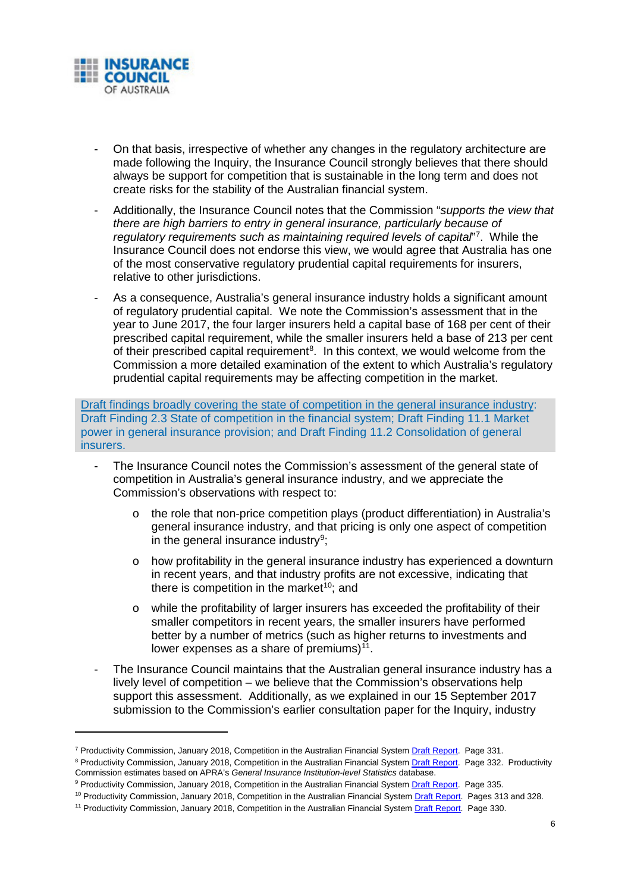

- On that basis, irrespective of whether any changes in the regulatory architecture are made following the Inquiry, the Insurance Council strongly believes that there should always be support for competition that is sustainable in the long term and does not create risks for the stability of the Australian financial system.
- Additionally, the Insurance Council notes that the Commission "*supports the view that there are high barriers to entry in general insurance, particularly because of regulatory requirements such as maintaining required levels of capital*"[7](#page-7-0) . While the Insurance Council does not endorse this view, we would agree that Australia has one of the most conservative regulatory prudential capital requirements for insurers, relative to other jurisdictions.
- As a consequence, Australia's general insurance industry holds a significant amount of regulatory prudential capital. We note the Commission's assessment that in the year to June 2017, the four larger insurers held a capital base of 168 per cent of their prescribed capital requirement, while the smaller insurers held a base of 213 per cent of their prescribed capital requirement<sup>[8](#page-7-1)</sup>. In this context, we would welcome from the Commission a more detailed examination of the extent to which Australia's regulatory prudential capital requirements may be affecting competition in the market.

Draft findings broadly covering the state of competition in the general insurance industry: Draft Finding 2.3 State of competition in the financial system; Draft Finding 11.1 Market power in general insurance provision; and Draft Finding 11.2 Consolidation of general insurers.

- The Insurance Council notes the Commission's assessment of the general state of competition in Australia's general insurance industry, and we appreciate the Commission's observations with respect to:
	- $\circ$  the role that non-price competition plays (product differentiation) in Australia's general insurance industry, and that pricing is only one aspect of competition in the general insurance industry<sup>9</sup>;
	- $\circ$  how profitability in the general insurance industry has experienced a downturn in recent years, and that industry profits are not excessive, indicating that there is competition in the market $10$ ; and
	- o while the profitability of larger insurers has exceeded the profitability of their smaller competitors in recent years, the smaller insurers have performed better by a number of metrics (such as higher returns to investments and lower expenses as a share of premiums) $11$ .
- The Insurance Council maintains that the Australian general insurance industry has a lively level of competition – we believe that the Commission's observations help support this assessment. Additionally, as we explained in our 15 September 2017 submission to the Commission's earlier consultation paper for the Inquiry, industry

<span id="page-7-0"></span><sup>7</sup> Productivity Commission, January 2018, Competition in the Australian Financial System Draft Report. Page 331.

<span id="page-7-1"></span><sup>&</sup>lt;sup>8</sup> Productivity Commission, January 2018, Competition in the Australian Financial System Draft Report. Page 332. Productivity Commission estimates based on APRA's *General Insurance Institution-level Statistics* database.

<sup>9</sup> Productivity Commission, January 2018, Competition in the Australian Financial System Draft Report. Page 335.

<span id="page-7-2"></span><sup>&</sup>lt;sup>10</sup> Productivity Commission, January 2018, Competition in the Australian Financial System Draft Report. Pages 313 and 328.

<span id="page-7-4"></span><span id="page-7-3"></span><sup>&</sup>lt;sup>11</sup> Productivity Commission, January 2018, Competition in the Australian Financial System Draft Report. Page 330.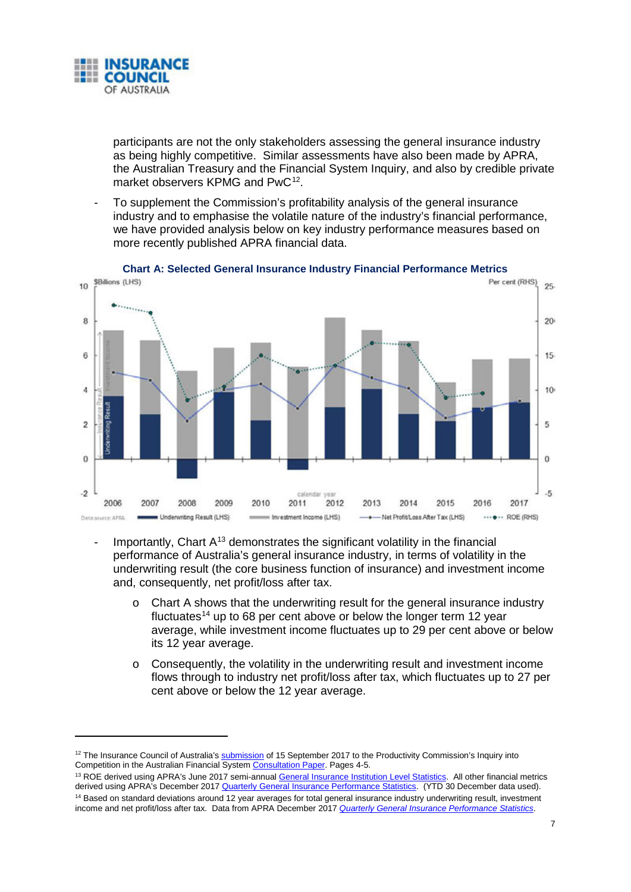

participants are not the only stakeholders assessing the general insurance industry as being highly competitive. Similar assessments have also been made by APRA, the Australian Treasury and the Financial System Inquiry, and also by credible private market observers KPMG and PwC<sup>[12](#page-8-0)</sup>.

To supplement the Commission's profitability analysis of the general insurance industry and to emphasise the volatile nature of the industry's financial performance, we have provided analysis below on key industry performance measures based on more recently published APRA financial data.



**Chart A: Selected General Insurance Industry Financial Performance Metrics**

- Importantly, Chart  $A^{13}$  $A^{13}$  $A^{13}$  demonstrates the significant volatility in the financial performance of Australia's general insurance industry, in terms of volatility in the underwriting result (the core business function of insurance) and investment income and, consequently, net profit/loss after tax.
	- $\circ$  Chart A shows that the underwriting result for the general insurance industry fluctuates<sup>[14](#page-8-2)</sup> up to 68 per cent above or below the longer term 12 year average, while investment income fluctuates up to 29 per cent above or below its 12 year average.
	- o Consequently, the volatility in the underwriting result and investment income flows through to industry net profit/loss after tax, which fluctuates up to 27 per cent above or below the 12 year average.

<span id="page-8-2"></span><span id="page-8-1"></span><sup>13</sup> ROE derived using APRA's June 2017 semi-annual General Insurance Institution Level Statistics. All other financial metrics derived using APRA<sup>'</sup>s December 2017 Quarterly General Insurance Performance Statistics. (YTD 30 December data used). <sup>14</sup> Based on standard deviations around 12 year averages for total general insurance industry underwriting result, investment income and net profit/loss after tax. Data from APRA December 2017 *Quarterly General Insurance Performance Statistics*.

<span id="page-8-0"></span> $12$  The Insurance Council of Australia's  $submission$  of 15 September 2017 to the Productivity Commission's Inquiry into Competition in the Australian Financial System Consultation Paper. Pages 4-5.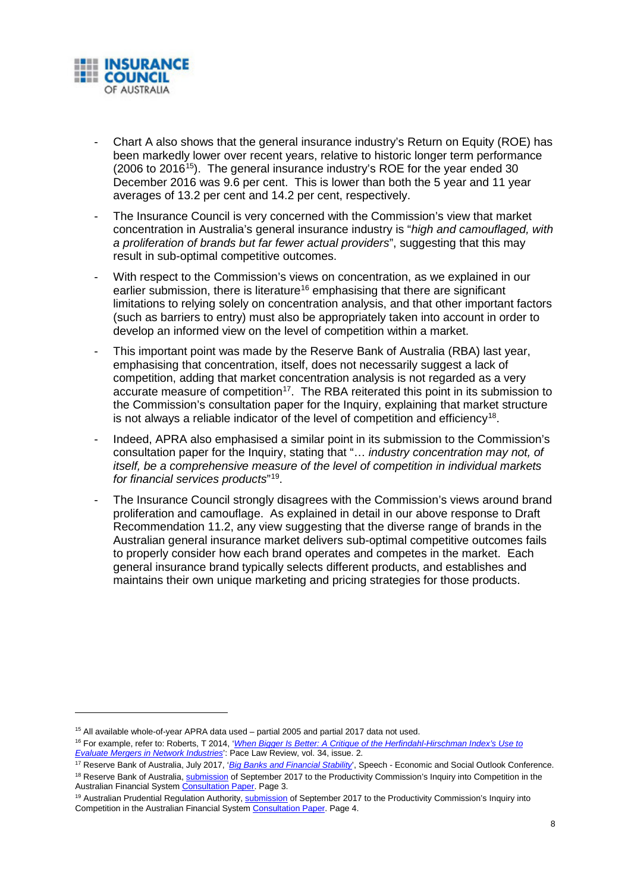

- Chart A also shows that the general insurance industry's Return on Equity (ROE) has been markedly lower over recent years, relative to historic longer term performance  $(2006 \text{ to } 2016^{15})$  $(2006 \text{ to } 2016^{15})$  $(2006 \text{ to } 2016^{15})$ . The general insurance industry's ROE for the year ended 30 December 2016 was 9.6 per cent. This is lower than both the 5 year and 11 year averages of 13.2 per cent and 14.2 per cent, respectively.
- The Insurance Council is very concerned with the Commission's view that market concentration in Australia's general insurance industry is "*high and camouflaged, with a proliferation of brands but far fewer actual providers*", suggesting that this may result in sub-optimal competitive outcomes.
- With respect to the Commission's views on concentration, as we explained in our earlier submission, there is literature<sup>[16](#page-9-1)</sup> emphasising that there are significant limitations to relying solely on concentration analysis, and that other important factors (such as barriers to entry) must also be appropriately taken into account in order to develop an informed view on the level of competition within a market.
- This important point was made by the Reserve Bank of Australia (RBA) last year, emphasising that concentration, itself, does not necessarily suggest a lack of competition, adding that market concentration analysis is not regarded as a very accurate measure of competition<sup>17</sup>. The RBA reiterated this point in its submission to the Commission's consultation paper for the Inquiry, explaining that market structure is not always a reliable indicator of the level of competition and efficiency<sup>[18](#page-9-3)</sup>.
- Indeed, APRA also emphasised a similar point in its submission to the Commission's consultation paper for the Inquiry, stating that "… *industry concentration may not, of itself, be a comprehensive measure of the level of competition in individual markets for financial services products*"[19.](#page-9-4)
- The Insurance Council strongly disagrees with the Commission's views around brand proliferation and camouflage. As explained in detail in our above response to Draft Recommendation 11.2, any view suggesting that the diverse range of brands in the Australian general insurance market delivers sub-optimal competitive outcomes fails to properly consider how each brand operates and competes in the market. Each general insurance brand typically selects different products, and establishes and maintains their own unique marketing and pricing strategies for those products.

<span id="page-9-0"></span><sup>&</sup>lt;sup>15</sup> All available whole-of-year APRA data used – partial 2005 and partial 2017 data not used.

<span id="page-9-1"></span><sup>16</sup> For example, refer to: Roberts, T 2014, '*When Bigger Is Better: A Critique of the Herfindahl-Hirschman Index's Use to Evaluate Mergers in Network Industries*': Pace Law Review, vol. 34, issue. 2.

<span id="page-9-2"></span><sup>17</sup> Reserve Bank of Australia, July 2017, '*Big Banks and Financial Stability*', Speech - Economic and Social Outlook Conference.

<span id="page-9-3"></span><sup>&</sup>lt;sup>18</sup> Reserve Bank of Australia, **submission** of September 2017 to the Productivity Commission's Inquiry into Competition in the Australian Financial System Consultation Paper. Page 3.

<span id="page-9-4"></span><sup>&</sup>lt;sup>19</sup> Australian Prudential Regulation Authority, **submission** of September 2017 to the Productivity Commission's Inquiry into Competition in the Australian Financial System Consultation Paper. Page 4.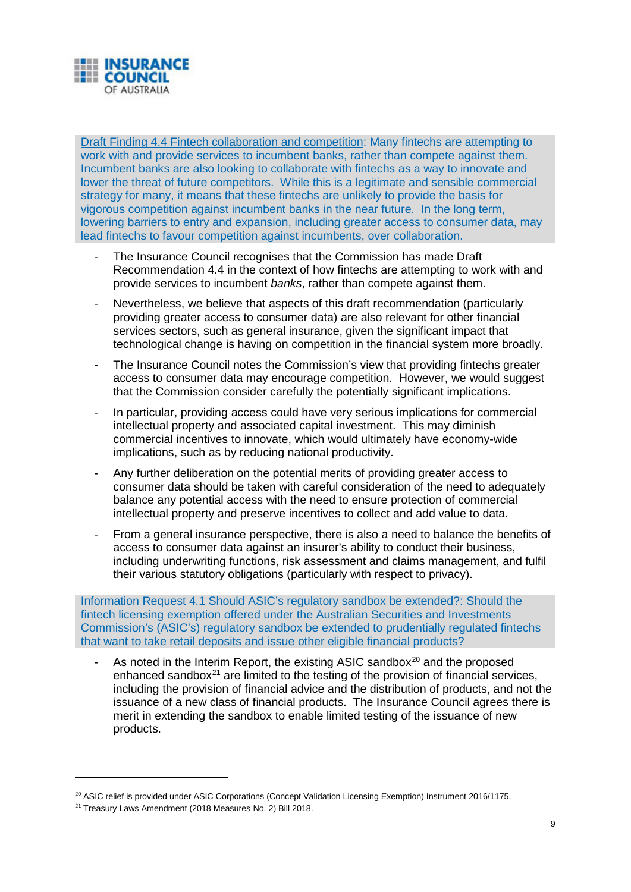

Draft Finding 4.4 Fintech collaboration and competition: Many fintechs are attempting to work with and provide services to incumbent banks, rather than compete against them. Incumbent banks are also looking to collaborate with fintechs as a way to innovate and lower the threat of future competitors. While this is a legitimate and sensible commercial strategy for many, it means that these fintechs are unlikely to provide the basis for vigorous competition against incumbent banks in the near future. In the long term, lowering barriers to entry and expansion, including greater access to consumer data, may lead fintechs to favour competition against incumbents, over collaboration.

- The Insurance Council recognises that the Commission has made Draft Recommendation 4.4 in the context of how fintechs are attempting to work with and provide services to incumbent *banks*, rather than compete against them.
- Nevertheless, we believe that aspects of this draft recommendation (particularly providing greater access to consumer data) are also relevant for other financial services sectors, such as general insurance, given the significant impact that technological change is having on competition in the financial system more broadly.
- The Insurance Council notes the Commission's view that providing fintechs greater access to consumer data may encourage competition. However, we would suggest that the Commission consider carefully the potentially significant implications.
- In particular, providing access could have very serious implications for commercial intellectual property and associated capital investment. This may diminish commercial incentives to innovate, which would ultimately have economy-wide implications, such as by reducing national productivity.
- Any further deliberation on the potential merits of providing greater access to consumer data should be taken with careful consideration of the need to adequately balance any potential access with the need to ensure protection of commercial intellectual property and preserve incentives to collect and add value to data.
- From a general insurance perspective, there is also a need to balance the benefits of access to consumer data against an insurer's ability to conduct their business, including underwriting functions, risk assessment and claims management, and fulfil their various statutory obligations (particularly with respect to privacy).

Information Request 4.1 Should ASIC's regulatory sandbox be extended?: Should the fintech licensing exemption offered under the Australian Securities and Investments Commission's (ASIC's) regulatory sandbox be extended to prudentially regulated fintechs that want to take retail deposits and issue other eligible financial products?

As noted in the Interim Report, the existing ASIC sandbox $20$  and the proposed enhanced sandbox $^{21}$  are limited to the testing of the provision of financial services, including the provision of financial advice and the distribution of products, and not the issuance of a new class of financial products. The Insurance Council agrees there is merit in extending the sandbox to enable limited testing of the issuance of new products.

-

<sup>&</sup>lt;sup>20</sup> ASIC relief is provided under ASIC Corporations (Concept Validation Licensing Exemption) Instrument 2016/1175.

<span id="page-10-1"></span><span id="page-10-0"></span><sup>&</sup>lt;sup>21</sup> Treasury Laws Amendment (2018 Measures No. 2) Bill 2018.